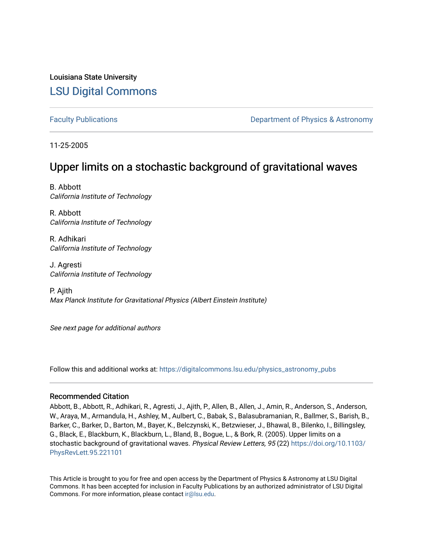Louisiana State University [LSU Digital Commons](https://digitalcommons.lsu.edu/)

[Faculty Publications](https://digitalcommons.lsu.edu/physics_astronomy_pubs) **Example 2** Constant Department of Physics & Astronomy

11-25-2005

# Upper limits on a stochastic background of gravitational waves

B. Abbott California Institute of Technology

R. Abbott California Institute of Technology

R. Adhikari California Institute of Technology

J. Agresti California Institute of Technology

P. Ajith Max Planck Institute for Gravitational Physics (Albert Einstein Institute)

See next page for additional authors

Follow this and additional works at: [https://digitalcommons.lsu.edu/physics\\_astronomy\\_pubs](https://digitalcommons.lsu.edu/physics_astronomy_pubs?utm_source=digitalcommons.lsu.edu%2Fphysics_astronomy_pubs%2F1220&utm_medium=PDF&utm_campaign=PDFCoverPages) 

#### Recommended Citation

Abbott, B., Abbott, R., Adhikari, R., Agresti, J., Ajith, P., Allen, B., Allen, J., Amin, R., Anderson, S., Anderson, W., Araya, M., Armandula, H., Ashley, M., Aulbert, C., Babak, S., Balasubramanian, R., Ballmer, S., Barish, B., Barker, C., Barker, D., Barton, M., Bayer, K., Belczynski, K., Betzwieser, J., Bhawal, B., Bilenko, I., Billingsley, G., Black, E., Blackburn, K., Blackburn, L., Bland, B., Bogue, L., & Bork, R. (2005). Upper limits on a stochastic background of gravitational waves. Physical Review Letters, 95 (22) [https://doi.org/10.1103/](https://doi.org/10.1103/PhysRevLett.95.221101) [PhysRevLett.95.221101](https://doi.org/10.1103/PhysRevLett.95.221101)

This Article is brought to you for free and open access by the Department of Physics & Astronomy at LSU Digital Commons. It has been accepted for inclusion in Faculty Publications by an authorized administrator of LSU Digital Commons. For more information, please contact [ir@lsu.edu](mailto:ir@lsu.edu).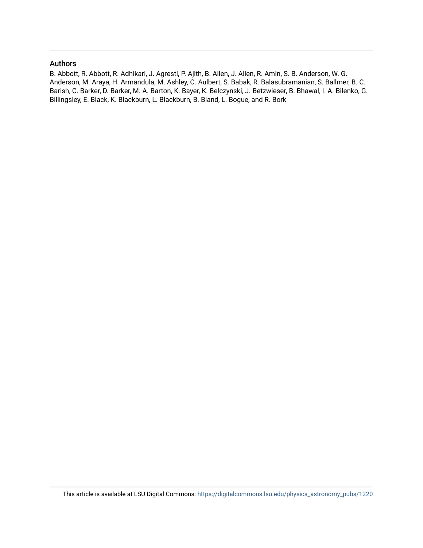### Authors

B. Abbott, R. Abbott, R. Adhikari, J. Agresti, P. Ajith, B. Allen, J. Allen, R. Amin, S. B. Anderson, W. G. Anderson, M. Araya, H. Armandula, M. Ashley, C. Aulbert, S. Babak, R. Balasubramanian, S. Ballmer, B. C. Barish, C. Barker, D. Barker, M. A. Barton, K. Bayer, K. Belczynski, J. Betzwieser, B. Bhawal, I. A. Bilenko, G. Billingsley, E. Black, K. Blackburn, L. Blackburn, B. Bland, L. Bogue, and R. Bork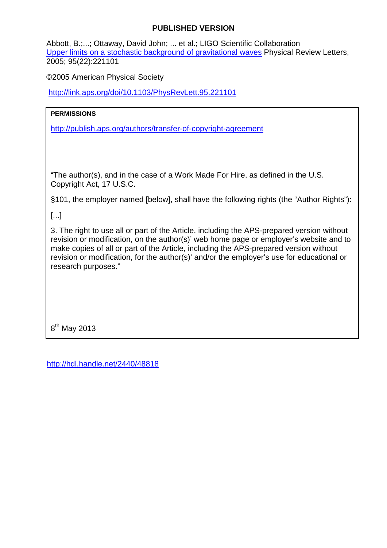## **PUBLISHED VERSION**

Abbott, B.;...; Ottaway, David John; ... et al.; LIGO Scientific Collaboration [Upper limits on a stochastic background of gravitational waves](http://hdl.handle.net/2440/48818) Physical Review Letters, 2005; 95(22):221101

©2005 American Physical Society

<http://link.aps.org/doi/10.1103/PhysRevLett.95.221101>

# **PERMISSIONS**

<http://publish.aps.org/authors/transfer-of-copyright-agreement>

"The author(s), and in the case of a Work Made For Hire, as defined in the U.S. Copyright Act, 17 U.S.C.

§101, the employer named [below], shall have the following rights (the "Author Rights"):

[...]

3. The right to use all or part of the Article, including the APS-prepared version without revision or modification, on the author(s)' web home page or employer's website and to make copies of all or part of the Article, including the APS-prepared version without revision or modification, for the author(s)' and/or the employer's use for educational or research purposes."

8<sup>th</sup> May 2013

<http://hdl.handle.net/2440/48818>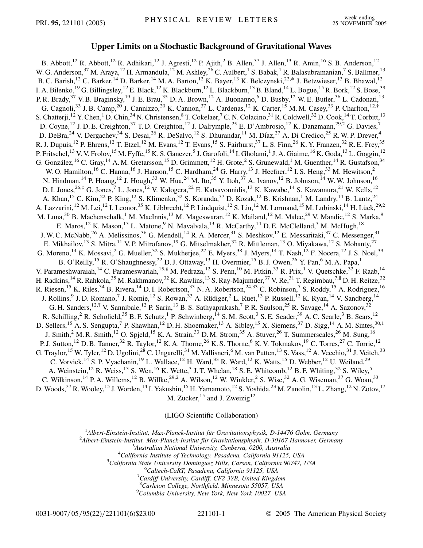#### **Upper Limits on a Stochastic Background of Gravitational Waves**

B. Abbott,<sup>12</sup> R. Abbott,<sup>12</sup> R. Adhikari,<sup>12</sup> J. Agresti,<sup>12</sup> P. Ajith,<sup>2</sup> B. Allen,<sup>37</sup> J. Allen,<sup>13</sup> R. Amin,<sup>16</sup> S. B. Anderson,<sup>12</sup> W. G. Anderson, <sup>37</sup> M. Araya, <sup>12</sup> H. Armandula, <sup>12</sup> M. Ashley, <sup>26</sup> C. Aulbert, <sup>1</sup> S. Babak, <sup>1</sup> R. Balasubramanian, <sup>7</sup> S. Ballmer, <sup>13</sup> B. C. Barish,<sup>12</sup> C. Barker,<sup>14</sup> D. Barker,<sup>14</sup> M. A. Barton,<sup>12</sup> K. Bayer,<sup>13</sup> K. Belczynski,<sup>22,\*</sup> J. Betzwieser,<sup>13</sup> B. Bhawal,<sup>12</sup> I. A. Bilenko,<sup>19</sup> G. Billingsley,<sup>12</sup> E. Black,<sup>12</sup> K. Blackburn,<sup>12</sup> L. Blackburn,<sup>13</sup> B. Bland,<sup>14</sup> L. Bogue,<sup>15</sup> R. Bork,<sup>12</sup> S. Bose,<sup>39</sup> P. R. Brady,<sup>37</sup> V. B. Braginsky,<sup>19</sup> J. E. Brau,<sup>35</sup> D. A. Brown,<sup>12</sup> A. Buonanno,<sup>6</sup> D. Busby,<sup>12</sup> W. E. Butler,<sup>36</sup> L. Cadonati,<sup>13</sup> G. Cagnoli,<sup>33</sup> J. B. Camp,<sup>20</sup> J. Cannizzo,<sup>20</sup> K. Cannon,<sup>37</sup> L. Cardenas,<sup>12</sup> K. Carter,<sup>15</sup> M. M. Casey,<sup>33</sup> P. Charlton,<sup>12,†</sup> S. Chatterji,<sup>12</sup> Y. Chen,<sup>1</sup> D. Chin,<sup>34</sup> N. Christensen,<sup>8</sup> T. Cokelaer,<sup>7</sup> C. N. Colacino,<sup>31</sup> R. Coldwell,<sup>32</sup> D. Cook,<sup>14</sup> T. Corbitt,<sup>13</sup> D. Coyne,<sup>12</sup> J. D. E. Creighton,<sup>37</sup> T. D. Creighton,<sup>12</sup> J. Dalrymple,<sup>25</sup> E. D'Ambrosio,<sup>12</sup> K. Danzmann,<sup>29,2</sup> G. Davies,<sup>7</sup> D. DeBra,<sup>24</sup> V. Dergachev,<sup>34</sup> S. Desai,<sup>26</sup> R. DeSalvo,<sup>12</sup> S. Dhurandar,<sup>11</sup> M. Díaz,<sup>27</sup> A. Di Credico,<sup>25</sup> R. W. P. Drever,<sup>4</sup> R. J. Dupuis,<sup>12</sup> P. Ehrens,<sup>12</sup> T. Etzel,<sup>12</sup> M. Evans,<sup>12</sup> T. Evans,<sup>15</sup> S. Fairhurst,<sup>37</sup> L. S. Finn,<sup>26</sup> K. Y. Franzen,<sup>32</sup> R. E. Frey,<sup>35</sup> P. Fritschel,<sup>13</sup> V. V. Frolov,<sup>15</sup> M. Fyffe,<sup>15</sup> K. S. Ganezer,<sup>5</sup> J. Garofoli,<sup>14</sup> I. Gholami,<sup>1</sup> J. A. Giaime,<sup>16</sup> K. Goda,<sup>13</sup> L. Goggin,<sup>12</sup> G. González,<sup>16</sup> C. Gray,<sup>14</sup> A. M. Gretarsson,<sup>15</sup> D. Grimmett,<sup>12</sup> H. Grote,<sup>2</sup> S. Grunewald,<sup>1</sup> M. Guenther,<sup>14</sup> R. Gustafson,<sup>34</sup> W. O. Hamilton,<sup>16</sup> C. Hanna,<sup>16</sup> J. Hanson,<sup>15</sup> C. Hardham,<sup>24</sup> G. Harry,<sup>13</sup> J. Heefner,<sup>12</sup> I. S. Heng,<sup>33</sup> M. Hewitson,<sup>2</sup> N. Hindman,<sup>14</sup> P. Hoang,<sup>12</sup> J. Hough,<sup>33</sup> W. Hua,<sup>24</sup> M. Ito,<sup>35</sup> Y. Itoh,<sup>37</sup> A. Ivanov,<sup>12</sup> B. Johnson,<sup>14</sup> W. W. Johnson,<sup>16</sup> D. I. Jones,<sup>26,‡</sup> G. Jones,<sup>7</sup> L. Jones,<sup>12</sup> V. Kalogera,<sup>22</sup> E. Katsavounidis,<sup>13</sup> K. Kawabe,<sup>14</sup> S. Kawamura,<sup>21</sup> W. Kells,<sup>12</sup> A. Khan,<sup>15</sup> C. Kim,<sup>22</sup> P. King,<sup>12</sup> S. Klimenko,<sup>32</sup> S. Koranda,<sup>37</sup> D. Kozak,<sup>12</sup> B. Krishnan,<sup>1</sup> M. Landry,<sup>14</sup> B. Lantz,<sup>24</sup> A. Lazzarini,<sup>12</sup> M. Lei,<sup>12</sup> I. Leonor,<sup>35</sup> K. Libbrecht,<sup>12</sup> P. Lindquist,<sup>12</sup> S. Liu,<sup>12</sup> M. Lormand,<sup>15</sup> M. Lubinski,<sup>14</sup> H. Lück,<sup>29,2</sup> M. Luna,<sup>30</sup> B. Machenschalk,<sup>1</sup> M. MacInnis,<sup>13</sup> M. Mageswaran,<sup>12</sup> K. Mailand,<sup>12</sup> M. Malec,<sup>29</sup> V. Mandic,<sup>12</sup> S. Marka,<sup>9</sup> E. Maros,<sup>12</sup> K. Mason,<sup>13</sup> L. Matone,<sup>9</sup> N. Mavalvala,<sup>13</sup> R. McCarthy,<sup>14</sup> D. E. McClelland,<sup>3</sup> M. McHugh,<sup>18</sup> J. W. C. McNabb,<sup>26</sup> A. Melissinos,<sup>36</sup> G. Mendell,<sup>14</sup> R. A. Mercer,<sup>31</sup> S. Meshkov,<sup>12</sup> E. Messaritaki,<sup>37</sup> C. Messenger,<sup>31</sup> E. Mikhailov,<sup>13</sup> S. Mitra,<sup>11</sup> V. P. Mitrofanov,<sup>19</sup> G. Mitselmakher,<sup>32</sup> R. Mittleman,<sup>13</sup> O. Miyakawa,<sup>12</sup> S. Mohanty,<sup>27</sup> G. Moreno,<sup>14</sup> K. Mossavi,<sup>2</sup> G. Mueller,<sup>32</sup> S. Mukherjee,<sup>27</sup> E. Myers,<sup>38</sup> J. Myers,<sup>14</sup> T. Nash,<sup>12</sup> F. Nocera,<sup>12</sup> J. S. Noel,<sup>39</sup> B. O'Reilly,<sup>15</sup> R. O'Shaughnessy,<sup>22</sup> D. J. Ottaway,<sup>13</sup> H. Overmier,<sup>15</sup> B. J. Owen,<sup>26</sup> Y. Pan,<sup>6</sup> M. A. Papa,<sup>1</sup> V. Parameshwaraiah,<sup>14</sup> C. Parameswariah,<sup>15,§</sup> M. Pedraza,<sup>12</sup> S. Penn,<sup>10</sup> M. Pitkin,<sup>33</sup> R. Prix,<sup>1</sup> V. Quetschke,<sup>32</sup> F. Raab,<sup>14</sup> H. Radkins, <sup>14</sup> R. Rahkola, <sup>35</sup> M. Rakhmanov, <sup>32</sup> K. Rawlins, <sup>13</sup> S. Ray-Majumder, <sup>37</sup> V. Re, <sup>31</sup> T. Regimbau, <sup>7,||</sup> D. H. Reitze, <sup>32</sup> R. Riesen,<sup>15</sup> K. Riles,<sup>34</sup> B. Rivera,<sup>14</sup> D. I. Robertson,<sup>33</sup> N. A. Robertson,<sup>24,33</sup> C. Robinson,<sup>7</sup> S. Roddy,<sup>15</sup> A. Rodriguez,<sup>16</sup> J. Rollins,<sup>9</sup> J. D. Romano,<sup>7</sup> J. Romie,<sup>12</sup> S. Rowan,<sup>33</sup> A. Rüdiger,<sup>2</sup> L. Ruet,<sup>13</sup> P. Russell,<sup>12</sup> K. Ryan,<sup>14</sup> V. Sandberg,<sup>14</sup> G. H. Sanders,<sup>12,¶</sup> V. Sannibale,<sup>12</sup> P. Sarin,<sup>13</sup> B. S. Sathyaprakash,<sup>7</sup> P. R. Saulson,<sup>25</sup> R. Savage,<sup>14</sup> A. Sazonov,<sup>32</sup> R. Schilling,<sup>2</sup> R. Schofield,<sup>35</sup> B. F. Schutz,<sup>1</sup> P. Schwinberg,<sup>14</sup> S. M. Scott,<sup>3</sup> S. E. Seader,<sup>39</sup> A. C. Searle,<sup>3</sup> B. Sears,<sup>12</sup> D. Sellers,<sup>15</sup> A. S. Sengupta,<sup>7</sup> P. Shawhan,<sup>12</sup> D. H. Shoemaker,<sup>13</sup> A. Sibley,<sup>15</sup> X. Siemens,<sup>37</sup> D. Sigg,<sup>14</sup> A. M. Sintes,<sup>30,1</sup> J. Smith,<sup>2</sup> M. R. Smith,<sup>12</sup> O. Spjeld,<sup>15</sup> K. A. Strain,<sup>33</sup> D. M. Strom,<sup>35</sup> A. Stuver,<sup>26</sup> T. Summerscales,<sup>26</sup> M. Sung,<sup>16</sup> P. J. Sutton,<sup>12</sup> D. B. Tanner,<sup>32</sup> R. Taylor,<sup>12</sup> K. A. Thorne,<sup>26</sup> K. S. Thorne,<sup>6</sup> K. V. Tokmakov,<sup>19</sup> C. Torres,<sup>27</sup> C. Torrie,<sup>12</sup> G. Traylor,<sup>15</sup> W. Tyler,<sup>12</sup> D. Ugolini,<sup>28</sup> C. Ungarelli,<sup>31</sup> M. Vallisneri,<sup>6</sup> M. van Putten,<sup>13</sup> S. Vass,<sup>12</sup> A. Vecchio,<sup>31</sup> J. Veitch,<sup>33</sup> C. Vorvick,<sup>14</sup> S. P. Vyachanin,<sup>19</sup> L. Wallace,<sup>12</sup> H. Ward,<sup>33</sup> R. Ward,<sup>12</sup> K. Watts,<sup>15</sup> D. Webber,<sup>12</sup> U. Weiland,<sup>29</sup> A. Weinstein,<sup>12</sup> R. Weiss,<sup>13</sup> S. Wen,<sup>16</sup> K. Wette,<sup>3</sup> J. T. Whelan,<sup>18</sup> S. E. Whitcomb,<sup>12</sup> B. F. Whiting,<sup>32</sup> S. Wiley,<sup>5</sup> C. Wilkinson,<sup>14</sup> P. A. Willems,<sup>12</sup> B. Willke,<sup>29,2</sup> A. Wilson,<sup>12</sup> W. Winkler,<sup>2</sup> S. Wise,<sup>32</sup> A. G. Wiseman,<sup>37</sup> G. Woan,<sup>33</sup> D. Woods,<sup>37</sup> R. Wooley,<sup>15</sup> J. Worden,<sup>14</sup> I. Yakushin,<sup>15</sup> H. Yamamoto,<sup>12</sup> S. Yoshida,<sup>23</sup> M. Zanolin,<sup>13</sup> L. Zhang,<sup>12</sup> N. Zotov,<sup>17</sup> M. Zucker,  $15$  and J. Zweizig<sup>12</sup>

(LIGO Scientific Collaboration)

<sup>1</sup> Albert-Einstein-Institut, Max-Planck-Institut für Gravitationsphysik, D-14476 Golm, Germany<br><sup>2</sup> Albert Einstein Institut, Max-Planck-Institut für Gravitationsphysik, D-30167 Hannover, Germa

<sup>2</sup>Albert-Einstein-Institut, Max-Planck-Institut für Gravitationsphysik, D-30167 Hannover, Germany

*Australian National University, Canberra, 0200, Australia* <sup>4</sup>

<sup>4</sup>California Institute of Technology, Pasadena, California 91125, USA

*California State University Dominguez Hills, Carson, California 90747, USA* <sup>6</sup>

*Caltech-CaRT, Pasadena, California 91125, USA* <sup>7</sup>

*Cardiff University, Cardiff, CF2 3YB, United Kingdom*

<sup>8</sup> Carleton College, Northfield, Minnesota 55057, USA<br><sup>9</sup> Columbia University, New York, New York 10027, US

*Columbia University, New York, New York 10027, USA*

0031-9007/05/95(22)/221101(6)\$23.00 221101-1 © 2005 The American Physical Society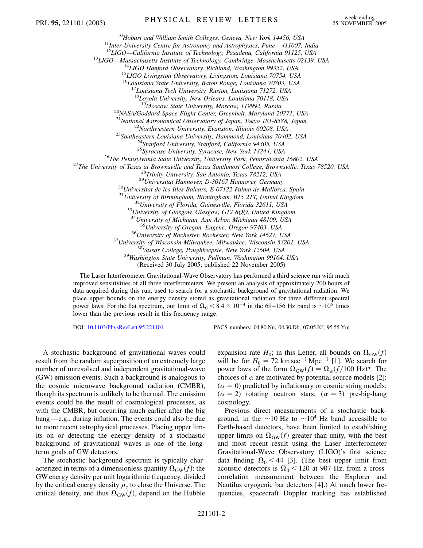<sup>10</sup>Hobart and William Smith Colleges, Geneva, New York 14456, USA<br><sup>11</sup>Inter-University Centre for Astronomy and Astrophysics, Pune - 411007, India<br><sup>12</sup>LIGO—California Institute of Technology, Pasadena, California 91125, U <sup>13</sup>LIGO—Massachusetts Institute of Technology, Cambridge, Massachusetts 02139, USA<br><sup>14</sup>LIGO Hanford Observatory, Richland, Washington 99352, USA<br><sup>15</sup>LIGO Livingston Observatory, Livingston, Louisiana 70754, USA <sup>16</sup>*Louisiana State University, Baton Rouge, Louisiana 70803, USA* <sup>17</sup>*Louisiana Tech University, Ruston, Louisiana 71272, USA* <sup>18</sup>*Loyola University, New Orleans, Louisiana 70118, USA* <sup>20</sup>*MASA/Goddard Space Flight Center, Greenbelt, Maryland 20771, USA*<br><sup>21</sup>*National Astronomical Observatory of Japan, Tokyo 181-8588, Japan* <sup>21</sup>National Astronomical Observatory of Japan, Tokyo 181-8588, Japan<br><sup>22</sup>Northwestern University, Evanston, Illinois 60208, USA<br><sup>23</sup>Southeastern Louisiana University, Hammond, Louisiana 70402, USA<br><sup>24</sup>Stanford University <sup>30</sup>Universitat de les Illes Balears, E-07122 Palma de Mallorca, Spain<br><sup>31</sup>University of Birmingham, Birmingham, B15 2TT, United Kingdom<br><sup>32</sup>University of Florida, Gainesville, Florida 32611, USA<br><sup>33</sup>University of Glasgow, <sup>34</sup>*University of Michigan, Ann Arbor, Michigan 48109, USA*  $^{36}$ University of Rochester, Rochester, New York 14627, USA<br><sup>37</sup>University of Wisconsin-Milwaukee, Milwaukee, Wisconsin 53201, USA<br><sup>38</sup>Vassar College, Poughkeepsie, New York 12604, USA<br><sup>39</sup>Washington State University, P (Received 30 July 2005; published 22 November 2005)

The Laser Interferometer Gravitational-Wave Observatory has performed a third science run with much improved sensitivities of all three interferometers. We present an analysis of approximately 200 hours of data acquired during this run, used to search for a stochastic background of gravitational radiation. We place upper bounds on the energy density stored as gravitational radiation for three different spectral power laws. For the flat spectrum, our limit of  $\Omega_0 \le 8.4 \times 10^{-4}$  in the 69–156 Hz band is  $\sim 10^5$  times lower than the previous result in this frequency range.

DOI: [10.1103/PhysRevLett.95.221101](http://dx.doi.org/10.1103/PhysRevLett.95.221101) PACS numbers: 04.80.Nn, 04.30.Db, 07.05.Kf, 95.55.Ym

A stochastic background of gravitational waves could result from the random superposition of an extremely large number of unresolved and independent gravitational-wave (GW) emission events. Such a background is analogous to the cosmic microwave background radiation (CMBR), though its spectrum is unlikely to be thermal. The emission events could be the result of cosmological processes, as with the CMBR, but occurring much earlier after the big bang—e.g., during inflation. The events could also be due to more recent astrophysical processes. Placing upper limits on or detecting the energy density of a stochastic background of gravitational waves is one of the longterm goals of GW detectors.

The stochastic background spectrum is typically characterized in terms of a dimensionless quantity  $\Omega_{GW}(f)$ : the GW energy density per unit logarithmic frequency, divided by the critical energy density  $\rho_c$  to close the Universe. The critical density, and thus  $\Omega_{GW}(f)$ , depend on the Hubble expansion rate  $H_0$ ; in this Letter, all bounds on  $\Omega_{GW}(f)$ will be for  $H_0 = 72$  km sec<sup>-1</sup> Mpc<sup>-1</sup> [1]. We search for power laws of the form  $\Omega_{GW}(f) = \Omega_{\alpha}(f/100 \text{ Hz})^{\alpha}$ . The choices of  $\alpha$  are motivated by potential source models [2]:  $(\alpha = 0)$  predicted by inflationary or cosmic string models;  $(\alpha = 2)$  rotating neutron stars;  $(\alpha = 3)$  pre-big-bang cosmology.

Previous direct measurements of a stochastic background, in the  $\sim$ 10 Hz to  $\sim$ 10<sup>4</sup> Hz band accessible to Earth-based detectors, have been limited to establishing upper limits on  $\Omega_{GW}(f)$  greater than unity, with the best and most recent result using the Laser Interferometer Gravitational-Wave Observatory (LIGO)'s first science data finding  $\Omega_0 < 44$  [3]. (The best upper limit from acoustic detectors is  $\Omega_0$  < 120 at 907 Hz, from a crosscorrelation measurement between the Explorer and Nautilus cryogenic bar detectors [4].) At much lower frequencies, spacecraft Doppler tracking has established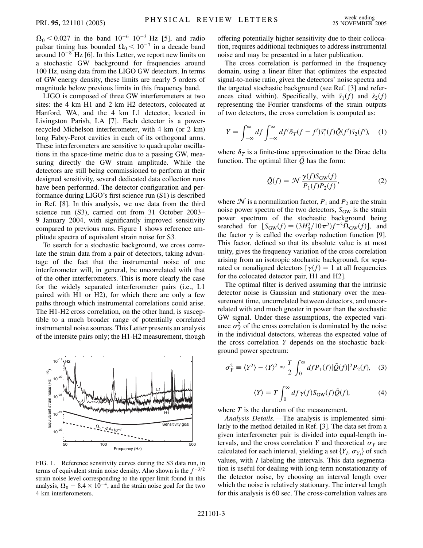$\Omega_0$  < 0.027 in the band  $10^{-6}$ - $10^{-3}$  Hz [5], and radio pulsar timing has bounded  $\Omega_0 < 10^{-7}$  in a decade band around  $10^{-8}$  Hz [6]. In this Letter, we report new limits on a stochastic GW background for frequencies around 100 Hz, using data from the LIGO GW detectors. In terms of GW energy density, these limits are nearly 5 orders of magnitude below previous limits in this frequency band.

LIGO is composed of three GW interferometers at two sites: the 4 km H1 and 2 km H2 detectors, colocated at Hanford, WA, and the 4 km L1 detector, located in Livingston Parish, LA [7]. Each detector is a powerrecycled Michelson interferometer, with 4 km (or 2 km) long Fabry-Perot cavities in each of its orthogonal arms. These interferometers are sensitive to quadrupolar oscillations in the space-time metric due to a passing GW, measuring directly the GW strain amplitude. While the detectors are still being commissioned to perform at their designed sensitivity, several dedicated data collection runs have been performed. The detector configuration and performance during LIGO's first science run (S1) is described in Ref. [8]. In this analysis, we use data from the third science run (S3), carried out from 31 October 2003– 9 January 2004, with significantly improved sensitivity compared to previous runs. Figure 1 shows reference amplitude spectra of equivalent strain noise for S3.

To search for a stochastic background, we cross correlate the strain data from a pair of detectors, taking advantage of the fact that the instrumental noise of one interferometer will, in general, be uncorrelated with that of the other interferometers. This is more clearly the case for the widely separated interferometer pairs (i.e., L1 paired with H1 or H2), for which there are only a few paths through which instrumental correlations could arise. The H1-H2 cross correlation, on the other hand, is susceptible to a much broader range of potentially correlated instrumental noise sources. This Letter presents an analysis of the intersite pairs only; the H1-H2 measurement, though



FIG. 1. Reference sensitivity curves during the S3 data run, in terms of equivalent strain noise density. Also shown is the  $f^{-3/2}$ strain noise level corresponding to the upper limit found in this analysis,  $\Omega_0 = 8.4 \times 10^{-4}$ , and the strain noise goal for the two 4 km interferometers.

offering potentially higher sensitivity due to their collocation, requires additional techniques to address instrumental noise and may be presented in a later publication.

The cross correlation is performed in the frequency domain, using a linear filter that optimizes the expected signal-to-noise ratio, given the detectors' noise spectra and the targeted stochastic background (see Ref. [3] and references cited within). Specifically, with  $\tilde{s}_1(f)$  and  $\tilde{s}_2(f)$ representing the Fourier transforms of the strain outputs of two detectors, the cross correlation is computed as:

$$
Y = \int_{-\infty}^{\infty} df \int_{-\infty}^{\infty} df' \delta_T (f - f') \tilde{s}_1^*(f) \tilde{Q}(f') \tilde{s}_2(f'), \quad (1)
$$

where  $\delta_T$  is a finite-time approximation to the Dirac delta function. The optimal filter  $\tilde{O}$  has the form:

$$
\tilde{Q}(f) = \mathcal{N} \frac{\gamma(f) S_{\text{GW}}(f)}{P_1(f) P_2(f)},\tag{2}
$$

where  $N$  is a normalization factor,  $P_1$  and  $P_2$  are the strain noise power spectra of the two detectors,  $S_{GW}$  is the strain power spectrum of the stochastic background being searched for  $[S_{GW}(f) = (3H_0^2/10\pi^2)f^{-3}\Omega_{GW}(f)]$ , and the factor  $\gamma$  is called the overlap reduction function [9]. This factor, defined so that its absolute value is at most unity, gives the frequency variation of the cross correlation arising from an isotropic stochastic background, for separated or nonaligned detectors  $\lceil \gamma(f) \rceil = 1$  at all frequencies for the colocated detector pair, H1 and H2].

The optimal filter is derived assuming that the intrinsic detector noise is Gaussian and stationary over the measurement time, uncorrelated between detectors, and uncorrelated with and much greater in power than the stochastic GW signal. Under these assumptions, the expected variance  $\sigma_Y^2$  of the cross correlation is dominated by the noise in the individual detectors, whereas the expected value of the cross correlation *Y* depends on the stochastic background power spectrum:

$$
\sigma_Y^2 \equiv \langle Y^2 \rangle - \langle Y \rangle^2 \approx \frac{T}{2} \int_0^\infty df P_1(f) |\tilde{Q}(f)|^2 P_2(f), \quad (3)
$$

$$
\langle Y \rangle = T \int_0^\infty df \gamma(f) S_{\rm GW}(f) \tilde{Q}(f), \tag{4}
$$

where *T* is the duration of the measurement.

*Analysis Details.*—The analysis is implemented similarly to the method detailed in Ref. [3]. The data set from a given interferometer pair is divided into equal-length intervals, and the cross correlation *Y* and theoretical  $\sigma_Y$  are calculated for each interval, yielding a set  $\{Y_I, \sigma_{Y_I}\}$  of such values, with *I* labeling the intervals. This data segmentation is useful for dealing with long-term nonstationarity of the detector noise, by choosing an interval length over which the noise is relatively stationary. The interval length for this analysis is 60 sec. The cross-correlation values are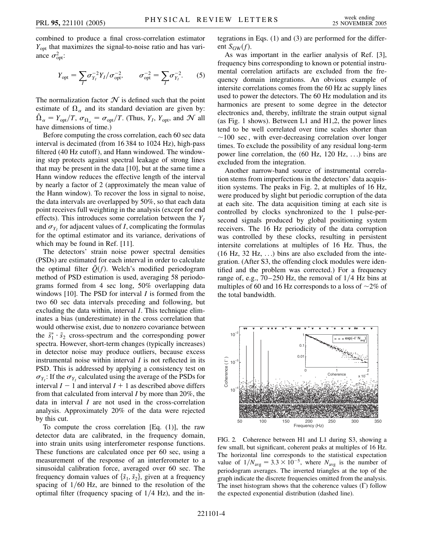combined to produce a final cross-correlation estimator *Y*<sub>opt</sub> that maximizes the signal-to-noise ratio and has variance  $\sigma_{\text{opt}}^2$ :

$$
Y_{\rm opt} = \sum_{I} \sigma_{Y_I}^{-2} Y_I / \sigma_{\rm opt}^{-2}, \qquad \sigma_{\rm opt}^{-2} = \sum_{I} \sigma_{Y_I}^{-2}.
$$
 (5)

The normalization factor  $\mathcal N$  is defined such that the point estimate of  $\Omega_{\alpha}$  and its standard deviation are given by:  $\hat{\Omega}_{\alpha} = Y_{\text{opt}}/T$ ,  $\sigma_{\Omega_{\alpha}} = \sigma_{\text{opt}}/T$ . (Thus,  $Y_I$ ,  $Y_{\text{opt}}$ , and  $\mathcal{N}$  all have dimensions of time.)

Before computing the cross correlation, each 60 sec data interval is decimated (from 16 384 to 1024 Hz), high-pass filtered (40 Hz cutoff), and Hann windowed. The windowing step protects against spectral leakage of strong lines that may be present in the data [10], but at the same time a Hann window reduces the effective length of the interval by nearly a factor of 2 (approximately the mean value of the Hann window). To recover the loss in signal to noise, the data intervals are overlapped by 50%, so that each data point receives full weighting in the analysis (except for end effects). This introduces some correlation between the *YI* and  $\sigma_{Y_I}$  for adjacent values of *I*, complicating the formulas for the optimal estimator and its variance, derivations of which may be found in Ref. [11].

The detectors' strain noise power spectral densities (PSDs) are estimated for each interval in order to calculate the optimal filter  $\tilde{Q}(f)$ . Welch's modified periodogram method of PSD estimation is used, averaging 58 periodograms formed from 4 sec long, 50% overlapping data windows [10]. The PSD for interval *I* is formed from the two 60 sec data intervals preceding and following, but excluding the data within, interval *I*. This technique eliminates a bias (underestimate) in the cross correlation that would otherwise exist, due to nonzero covariance between the  $\tilde{s}_1^* \cdot \tilde{s}_2$  cross-spectrum and the corresponding power spectra. However, short-term changes (typically increases) in detector noise may produce outliers, because excess instrumental noise within interval *I* is not reflected in its PSD. This is addressed by applying a consistency test on  $\sigma_{Y_I}$ : If the  $\sigma_{Y_I}$  calculated using the average of the PSDs for interval  $I - 1$  and interval  $I + 1$  as described above differs from that calculated from interval *I* by more than 20%, the data in interval *I* are not used in the cross-correlation analysis. Approximately 20% of the data were rejected by this cut.

To compute the cross correlation  $[Eq, (1)]$ , the raw detector data are calibrated, in the frequency domain, into strain units using interferometer response functions. These functions are calculated once per 60 sec, using a measurement of the response of an interferometer to a sinusoidal calibration force, averaged over 60 sec. The frequency domain values of  $\{\tilde{s}_1, \tilde{s}_2\}$ , given at a frequency spacing of  $1/60$  Hz, are binned to the resolution of the optimal filter (frequency spacing of  $1/4$  Hz), and the integrations in Eqs. (1) and (3) are performed for the different  $S_{GW}(f)$ .

As was important in the earlier analysis of Ref. [3], frequency bins corresponding to known or potential instrumental correlation artifacts are excluded from the frequency domain integrations. An obvious example of intersite correlations comes from the 60 Hz ac supply lines used to power the detectors. The 60 Hz modulation and its harmonics are present to some degree in the detector electronics and, thereby, infiltrate the strain output signal (as Fig. 1 shows). Between L1 and H1,2, the power lines tend to be well correlated over time scales shorter than  $\sim$ 100 sec, with ever-decreasing correlation over longer times. To exclude the possibility of any residual long-term power line correlation, the (60 Hz, 120 Hz, ...) bins are excluded from the integration.

Another narrow-band source of instrumental correlation stems from imperfections in the detectors' data acquisition systems. The peaks in Fig. 2, at multiples of 16 Hz, were produced by slight but periodic corruption of the data at each site. The data acquisition timing at each site is controlled by clocks synchronized to the 1 pulse-persecond signals produced by global positioning system receivers. The 16 Hz periodicity of the data corruption was controlled by these clocks, resulting in persistent intersite correlations at multiples of 16 Hz. Thus, the (16 Hz, 32 Hz, ...) bins are also excluded from the integration. (After S3, the offending clock modules were identified and the problem was corrected.) For a frequency range of, e.g.,  $70-250$  Hz, the removal of  $1/4$  Hz bins at multiples of 60 and 16 Hz corresponds to a loss of  $\sim$ 2% of the total bandwidth.



FIG. 2. Coherence between H1 and L1 during S3, showing a few small, but significant, coherent peaks at multiples of 16 Hz. The horizontal line corresponds to the statistical expectation value of  $1/N_{\text{avg}} = 3.3 \times 10^{-5}$ , where  $N_{\text{avg}}$  is the number of periodogram averages. The inverted triangles at the top of the graph indicate the discrete frequencies omitted from the analysis. The inset histogram shows that the coherence values  $( \Gamma )$  follow the expected exponential distribution (dashed line).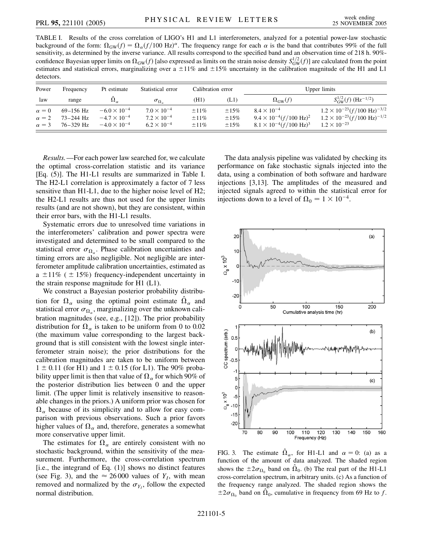TABLE I. Results of the cross correlation of LIGO's H1 and L1 interferometers, analyzed for a potential power-law stochastic background of the form:  $\Omega_{GW}(f) = \Omega_{\alpha}(f/100 \text{ Hz})^{\alpha}$ . The frequency range for each  $\alpha$  is the band that contributes 99% of the full sensitivity, as determined by the inverse variance. All results correspond to the specified band and an observation time of 218 h. 90% confidence Bayesian upper limits on  $\Omega_{GW}(f)$  [also expressed as limits on the strain noise density  $S_{GW}^{1/2}(f)$ ] are calculated from the point estimates and statistical errors, marginalizing over a  $\pm 11\%$  and  $\pm 15\%$  uncertainty in the calibration magnitude of the H1 and L1 detectors.

| Power                        | Frequency                    | Pt estimate                                    | Statistical error                            | Calibration error        |                          | Upper limits                                                      |                                                                                                    |
|------------------------------|------------------------------|------------------------------------------------|----------------------------------------------|--------------------------|--------------------------|-------------------------------------------------------------------|----------------------------------------------------------------------------------------------------|
| law                          | range                        | $\Omega_{\alpha}$                              | $\sigma_{\Omega_{\alpha}}$                   | (H1)                     | (L1)                     | $\Omega_{GW}(f)$                                                  | $S_{\text{GW}}^{1/2}(f)$ (Hz <sup>-1/2</sup> )                                                     |
| $\alpha = 0$<br>$\alpha = 2$ | $69-156$ Hz<br>$73 - 244$ Hz | $-6.0 \times 10^{-4}$<br>$-4.7 \times 10^{-4}$ | $7.0 \times 10^{-4}$<br>$7.2 \times 10^{-4}$ | $\pm 11\%$<br>$\pm 11\%$ | $\pm 15\%$<br>$\pm 15\%$ | $8.4 \times 10^{-4}$<br>$9.4 \times 10^{-4} (f/100 \text{ Hz})^2$ | $1.2 \times 10^{-23} (f/100 \text{ Hz})^{-3/2}$<br>$1.2 \times 10^{-23} (f/100 \text{ Hz})^{-1/2}$ |
| $\alpha = 3$                 | $76 - 329$ Hz                | $-4.0 \times 10^{-4}$                          | $6.2 \times 10^{-4}$                         | $\pm 11\%$               | $\pm 15\%$               | $8.1 \times 10^{-4} (f/100 \text{ Hz})^3$                         | $1.2 \times 10^{-23}$                                                                              |

*Results.*—For each power law searched for, we calculate the optimal cross-correlation statistic and its variance [Eq. (5)]. The H1-L1 results are summarized in Table I. The H2-L1 correlation is approximately a factor of 7 less sensitive than H1-L1, due to the higher noise level of H2; the H2-L1 results are thus not used for the upper limits results (and are not shown), but they are consistent, within their error bars, with the H1-L1 results.

Systematic errors due to unresolved time variations in the interferometers' calibration and power spectra were investigated and determined to be small compared to the statistical error  $\sigma_{\Omega_{\alpha}}$ . Phase calibration uncertainties and timing errors are also negligible. Not negligible are interferometer amplitude calibration uncertainties, estimated as a  $\pm 11\%$  (  $\pm 15\%$ ) frequency-independent uncertainty in the strain response magnitude for H1 (L1).

We construct a Bayesian posterior probability distribution for  $\Omega_{\alpha}$  using the optimal point estimate  $\hat{\Omega}_{\alpha}$  and statistical error  $\sigma_{\Omega_{\alpha}}$ , marginalizing over the unknown calibration magnitudes (see, e.g., [12]). The prior probability distribution for  $\Omega_{\alpha}$  is taken to be uniform from 0 to 0.02 (the maximum value corresponding to the largest background that is still consistent with the lowest single interferometer strain noise); the prior distributions for the calibration magnitudes are taken to be uniform between  $1 \pm 0.11$  (for H1) and  $1 \pm 0.15$  (for L1). The 90% probability upper limit is then that value of  $\Omega_\alpha$  for which 90% of the posterior distribution lies between 0 and the upper limit. (The upper limit is relatively insensitive to reasonable changes in the priors.) A uniform prior was chosen for  $\Omega_{\alpha}$  because of its simplicity and to allow for easy comparison with previous observations. Such a prior favors higher values of  $\Omega_{\alpha}$  and, therefore, generates a somewhat more conservative upper limit.

The estimates for  $\Omega_{\alpha}$  are entirely consistent with no stochastic background, within the sensitivity of the measurement. Furthermore, the cross-correlation spectrum [i.e., the integrand of Eq. (1)] shows no distinct features (see Fig. 3), and the  $\approx 26000$  values of  $Y_I$ , with mean removed and normalized by the  $\sigma_{Y_I}$ , follow the expected normal distribution.

The data analysis pipeline was validated by checking its performance on fake stochastic signals injected into the data, using a combination of both software and hardware injections [3,13]. The amplitudes of the measured and injected signals agreed to within the statistical error for injections down to a level of  $\Omega_0 = 1 \times 10^{-4}$ .



FIG. 3. The estimate  $\hat{\Omega}_{\alpha}$ , for H1-L1 and  $\alpha = 0$ : (a) as a function of the amount of data analyzed. The shaded region shows the  $\pm 2\sigma_{\Omega_0}$  band on  $\hat{\Omega}_0$ . (b) The real part of the H1-L1 cross-correlation spectrum, in arbitrary units. (c) As a function of the frequency range analyzed. The shaded region shows the  $\pm 2\sigma_{\Omega_0}$  band on  $\Omega_0$ , cumulative in frequency from 69 Hz to *f*.